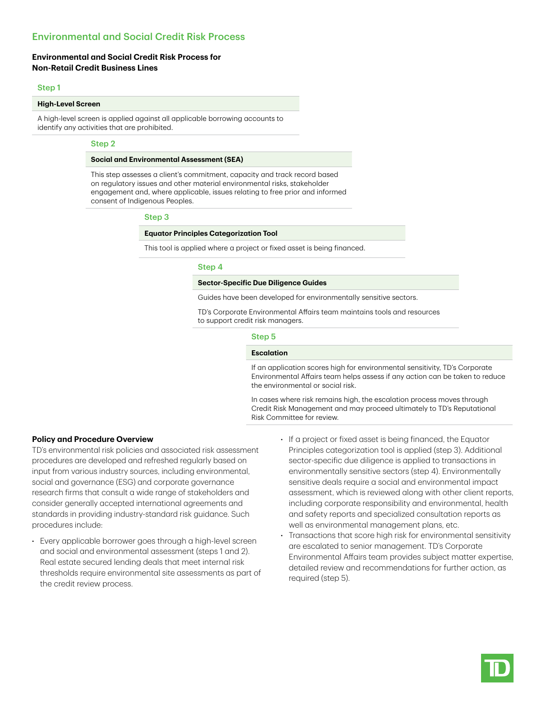# Environmental and Social Credit Risk Process

## **Environmental and Social Credit Risk Process for Non-Retail Credit Business Lines**

### Step 1

### **High-Level Screen**

A high-level screen is applied against all applicable borrowing accounts to identify any activities that are prohibited.

### Step 2

### **Social and Environmental Assessment (SEA)**

This step assesses a client's commitment, capacity and track record based on regulatory issues and other material environmental risks, stakeholder engagement and, where applicable, issues relating to free prior and informed consent of Indigenous Peoples.

#### Step 3

### **Equator Principles Categorization Tool**

This tool is applied where a project or fixed asset is being financed.

### Step 4

#### **Sector-Specific Due Diligence Guides**

Guides have been developed for environmentally sensitive sectors.

TD's Corporate Environmental Affairs team maintains tools and resources to support credit risk managers.

### Step 5

#### **Escalation**

If an application scores high for environmental sensitivity, TD's Corporate Environmental Affairs team helps assess if any action can be taken to reduce the environmental or social risk.

In cases where risk remains high, the escalation process moves through Credit Risk Management and may proceed ultimately to TD's Reputational Risk Committee for review.

## **Policy and Procedure Overview**

TD's environmental risk policies and associated risk assessment procedures are developed and refreshed regularly based on input from various industry sources, including environmental, social and governance (ESG) and corporate governance research firms that consult a wide range of stakeholders and consider generally accepted international agreements and standards in providing industry-standard risk guidance. Such procedures include:

- Every applicable borrower goes through a high-level screen and social and environmental assessment (steps 1 and 2). Real estate secured lending deals that meet internal risk thresholds require environmental site assessments as part of the credit review process.
- If a project or fixed asset is being financed, the Equator Principles categorization tool is applied (step 3). Additional sector-specific due diligence is applied to transactions in environmentally sensitive sectors (step 4). Environmentally sensitive deals require a social and environmental impact assessment, which is reviewed along with other client reports, including corporate responsibility and environmental, health and safety reports and specialized consultation reports as well as environmental management plans, etc.
- Transactions that score high risk for environmental sensitivity are escalated to senior management. TD's Corporate Environmental Affairs team provides subject matter expertise, detailed review and recommendations for further action, as required (step 5).

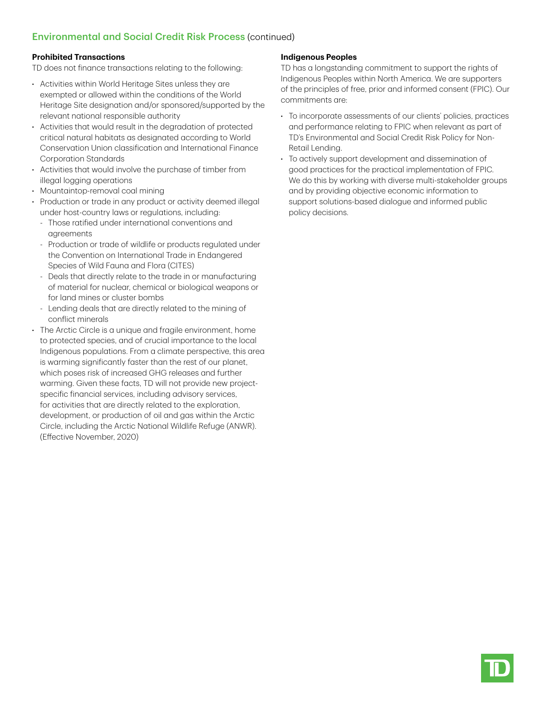# Environmental and Social Credit Risk Process (continued)

# **Prohibited Transactions**

TD does not finance transactions relating to the following:

- Activities within World Heritage Sites unless they are exempted or allowed within the conditions of the World Heritage Site designation and/or sponsored/supported by the relevant national responsible authority
- Activities that would result in the degradation of protected critical natural habitats as designated according to World Conservation Union classification and International Finance Corporation Standards
- Activities that would involve the purchase of timber from illegal logging operations
- Mountaintop-removal coal mining
- Production or trade in any product or activity deemed illegal under host-country laws or regulations, including:
	- Those ratified under international conventions and agreements
	- Production or trade of wildlife or products regulated under the Convention on International Trade in Endangered Species of Wild Fauna and Flora (CITES)
	- Deals that directly relate to the trade in or manufacturing of material for nuclear, chemical or biological weapons or for land mines or cluster bombs
	- Lending deals that are directly related to the mining of conflict minerals
- The Arctic Circle is a unique and fragile environment, home to protected species, and of crucial importance to the local Indigenous populations. From a climate perspective, this area is warming significantly faster than the rest of our planet, which poses risk of increased GHG releases and further warming. Given these facts, TD will not provide new projectspecific financial services, including advisory services, for activities that are directly related to the exploration, development, or production of oil and gas within the Arctic Circle, including the Arctic National Wildlife Refuge (ANWR). (Effective November, 2020)

# **Indigenous Peoples**

TD has a longstanding commitment to support the rights of Indigenous Peoples within North America. We are supporters of the principles of free, prior and informed consent (FPIC). Our commitments are:

- To incorporate assessments of our clients' policies, practices and performance relating to FPIC when relevant as part of TD's Environmental and Social Credit Risk Policy for Non-Retail Lending.
- To actively support development and dissemination of good practices for the practical implementation of FPIC. We do this by working with diverse multi-stakeholder groups and by providing objective economic information to support solutions-based dialogue and informed public policy decisions.

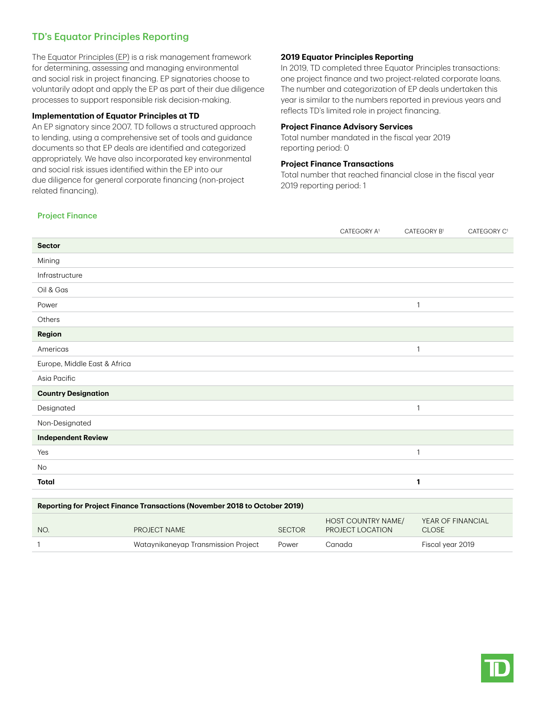# TD's Equator Principles Reporting

The [Equator Principles \(EP\)](https://equator-principles.com/) is a risk management framework for determining, assessing and managing environmental and social risk in project financing. EP signatories choose to voluntarily adopt and apply the EP as part of their due diligence processes to support responsible risk decision-making.

## **Implementation of Equator Principles at TD**

An EP signatory since 2007, TD follows a structured approach to lending, using a comprehensive set of tools and guidance documents so that EP deals are identified and categorized appropriately. We have also incorporated key environmental and social risk issues identified within the EP into our due diligence for general corporate financing (non-project related financing).

## **2019 Equator Principles Reporting**

In 2019, TD completed three Equator Principles transactions: one project finance and two project-related corporate loans. The number and categorization of EP deals undertaken this year is similar to the numbers reported in previous years and reflects TD's limited role in project financing.

## **Project Finance Advisory Services**

Total number mandated in the fiscal year 2019 reporting period: 0

## **Project Finance Transactions**

Total number that reached financial close in the fiscal year 2019 reporting period: 1

|  | <b>Project Finance</b> |
|--|------------------------|
|--|------------------------|

|                                                                            |              |               | CATEGORY A <sup>1</sup>                | CATEGORY B1                       | CATEGORY C <sup>1</sup> |  |
|----------------------------------------------------------------------------|--------------|---------------|----------------------------------------|-----------------------------------|-------------------------|--|
| <b>Sector</b>                                                              |              |               |                                        |                                   |                         |  |
| Mining                                                                     |              |               |                                        |                                   |                         |  |
| Infrastructure                                                             |              |               |                                        |                                   |                         |  |
| Oil & Gas                                                                  |              |               |                                        |                                   |                         |  |
| Power                                                                      |              |               |                                        | 1                                 |                         |  |
| Others                                                                     |              |               |                                        |                                   |                         |  |
| Region                                                                     |              |               |                                        |                                   |                         |  |
| Americas                                                                   |              |               |                                        | $\mathbf{1}$                      |                         |  |
| Europe, Middle East & Africa                                               |              |               |                                        |                                   |                         |  |
| Asia Pacific                                                               |              |               |                                        |                                   |                         |  |
| <b>Country Designation</b>                                                 |              |               |                                        |                                   |                         |  |
| Designated                                                                 |              |               |                                        | 1                                 |                         |  |
| Non-Designated                                                             |              |               |                                        |                                   |                         |  |
| <b>Independent Review</b>                                                  |              |               |                                        |                                   |                         |  |
| Yes                                                                        |              |               |                                        | 1                                 |                         |  |
| No                                                                         |              |               |                                        |                                   |                         |  |
| <b>Total</b>                                                               |              |               |                                        | 1                                 |                         |  |
|                                                                            |              |               |                                        |                                   |                         |  |
| Reporting for Project Finance Transactions (November 2018 to October 2019) |              |               |                                        |                                   |                         |  |
| NO.                                                                        | PROJECT NAME | <b>SECTOR</b> | HOST COUNTRY NAME/<br>PROJECT LOCATION | YEAR OF FINANCIAL<br><b>CLOSE</b> |                         |  |

1 Wataynikaneyap Transmission Project Power Canada Fiscal year 2019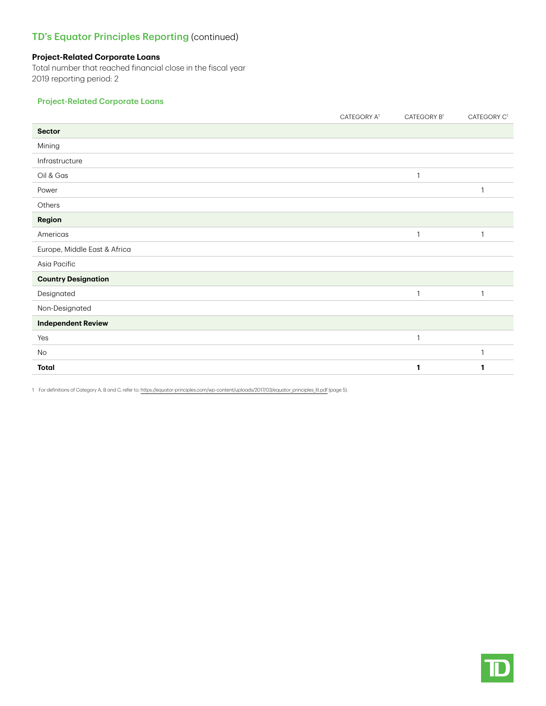# TD's Equator Principles Reporting (continued)

## **Project-Related Corporate Loans**

Total number that reached financial close in the fiscal year 2019 reporting period: 2

# Project-Related Corporate Loans

|                              | CATEGORY A <sup>1</sup> | CATEGORY B1  | CATEGORY C <sup>1</sup> |
|------------------------------|-------------------------|--------------|-------------------------|
| <b>Sector</b>                |                         |              |                         |
| Mining                       |                         |              |                         |
| Infrastructure               |                         |              |                         |
| Oil & Gas                    |                         | $\mathbf{1}$ |                         |
| Power                        |                         |              | $\mathbf{1}$            |
| Others                       |                         |              |                         |
| Region                       |                         |              |                         |
| Americas                     |                         | $\mathbf{1}$ | $\mathbf{1}$            |
| Europe, Middle East & Africa |                         |              |                         |
| Asia Pacific                 |                         |              |                         |
| <b>Country Designation</b>   |                         |              |                         |
| Designated                   |                         | $\mathbf{1}$ | 1                       |
| Non-Designated               |                         |              |                         |
| <b>Independent Review</b>    |                         |              |                         |
| Yes                          |                         | $\mathbf{1}$ |                         |
| No                           |                         |              | $\mathbf{1}$            |
| Total                        |                         |              |                         |

1 For definitions of Category A, B and C, refer to: [https://equator-principles.com/wp-content/uploads/2017/03/equator\\_principles\\_III.pdf](https://equator-principles.com/wp-content/uploads/2017/03/equator_principles_III.pdf) (page 5).